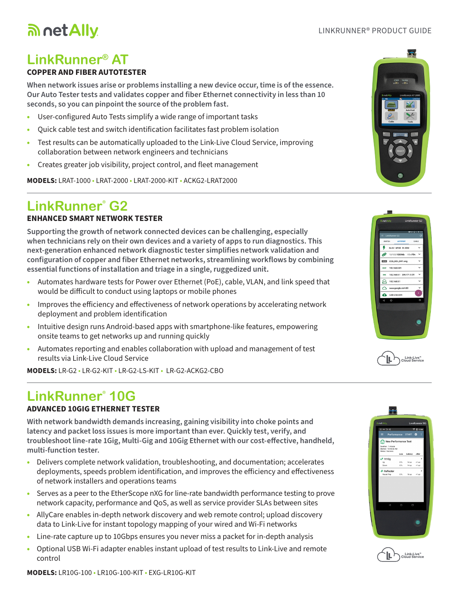#### LINKRUNNER® PRODUCT GUIDE

# **LinkRunner® AT**

an net Ally

### **COPPER AND FIBER AUTOTESTER**

**When network issues arise or problems installing a new device occur, time is of the essence. Our Auto Tester tests and validates copper and fiber Ethernet connectivity in less than 10 seconds, so you can pinpoint the source of the problem fast.**

- User-configured Auto Tests simplify a wide range of important tasks
- Quick cable test and switch identification facilitates fast problem isolation
- Test results can be automatically uploaded to the Link-Live Cloud Service, improving collaboration between network engineers and technicians
- Creates greater job visibility, project control, and fleet management

**MODELS:** LRAT-1000 • LRAT-2000 • LRAT-2000-KIT • ACKG2-LRAT2000

## **LinkRunner**®  **G2**

#### **ENHANCED SMART NETWORK TESTER**

**Supporting the growth of network connected devices can be challenging, especially when technicians rely on their own devices and a variety of apps to run diagnostics. This next-generation enhanced network diagnostic tester simplifies network validation and configuration of copper and fiber Ethernet networks, streamlining workflows by combining essential functions of installation and triage in a single, ruggedized unit.**

- Automates hardware tests for Power over Ethernet (PoE), cable, VLAN, and link speed that would be difficult to conduct using laptops or mobile phones
- Improves the efficiency and effectiveness of network operations by accelerating network deployment and problem identification
- Intuitive design runs Android-based apps with smartphone-like features, empowering onsite teams to get networks up and running quickly
- Automates reporting and enables collaboration with upload and management of test results via Link-Live Cloud Service

**MODELS:** LR-G2 • LR-G2-KIT • LR-G2-LS-KIT • LR-G2-ACKG2-CBO

## **LinkRunner**®  **10G**

#### **ADVANCED 10GIG ETHERNET TESTER**

**With network bandwidth demands increasing, gaining visibility into choke points and latency and packet loss issues is more important than ever. Quickly test, verify, and troubleshoot line-rate 1Gig, Multi-Gig and 10Gig Ethernet with our cost-effective, handheld, multi-function tester.**

- Delivers complete network validation, troubleshooting, and documentation; accelerates deployments, speeds problem identification, and improves the efficiency and effectiveness of network installers and operations teams
- Serves as a peer to the EtherScope nXG for line-rate bandwidth performance testing to prove network capacity, performance and QoS, as well as service provider SLAs between sites
- AllyCare enables in-depth network discovery and web remote control; upload discovery data to Link-Live for instant topology mapping of your wired and Wi-Fi networks
- Line-rate capture up to 10Gbps ensures you never miss a packet for in-depth analysis
- Optional USB Wi-Fi adapter enables instant upload of test results to Link-Live and remote control